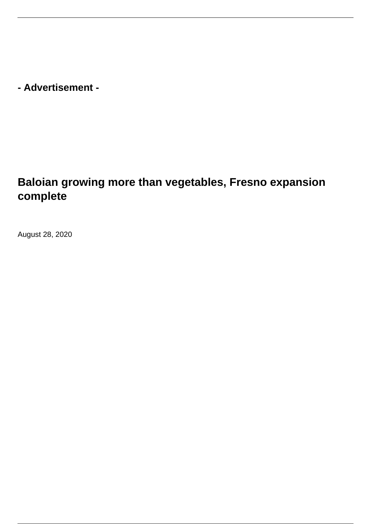**- Advertisement -**

## **Baloian growing more than vegetables, Fresno expansion complete**

August 28, 2020